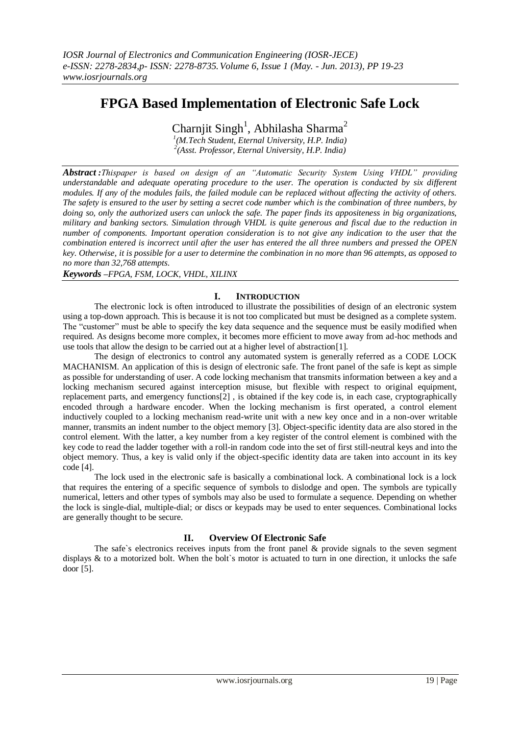# **FPGA Based Implementation of Electronic Safe Lock**

Charnjit Singh<sup>1</sup>, Abhilasha Sharma<sup>2</sup>

*1 (M.Tech Student, Eternal University, H.P. India) 2 (Asst. Professor, Eternal University, H.P. India)*

*Abstract :Thispaper is based on design of an "Automatic Security System Using VHDL" providing understandable and adequate operating procedure to the user. The operation is conducted by six different modules. If any of the modules fails, the failed module can be replaced without affecting the activity of others. The safety is ensured to the user by setting a secret code number which is the combination of three numbers, by doing so, only the authorized users can unlock the safe. The paper finds its appositeness in big organizations, military and banking sectors. Simulation through VHDL is quite generous and fiscal due to the reduction in number of components. Important operation consideration is to not give any indication to the user that the combination entered is incorrect until after the user has entered the all three numbers and pressed the OPEN key. Otherwise, it is possible for a user to determine the combination in no more than 96 attempts, as opposed to no more than 32,768 attempts*.

*Keywords –FPGA, FSM, LOCK, VHDL, XILINX*

### **I. INTRODUCTION**

The electronic lock is often introduced to illustrate the possibilities of design of an electronic system using a top-down approach. This is because it is not too complicated but must be designed as a complete system. The "customer" must be able to specify the key data sequence and the sequence must be easily modified when required. As designs become more complex, it becomes more efficient to move away from ad-hoc methods and use tools that allow the design to be carried out at a higher level of abstraction[1].

The design of electronics to control any automated system is generally referred as a CODE LOCK MACHANISM. An application of this is design of electronic safe. The front panel of the safe is kept as simple as possible for understanding of user. A code locking mechanism that transmits information between a key and a locking mechanism secured against interception misuse, but flexible with respect to original equipment, replacement parts, and emergency functions[2] , is obtained if the key code is, in each case, cryptographically encoded through a hardware encoder. When the locking mechanism is first operated, a control element inductively coupled to a locking mechanism read-write unit with a new key once and in a non-over writable manner, transmits an indent number to the object memory [3]. Object-specific identity data are also stored in the control element. With the latter, a key number from a key register of the control element is combined with the key code to read the ladder together with a roll-in random code into the set of first still-neutral keys and into the object memory. Thus, a key is valid only if the object-specific identity data are taken into account in its key code [4].

The lock used in the electronic safe is basically a combinational lock. A combinational lock is a lock that requires the entering of a specific sequence of symbols to dislodge and open. The symbols are typically numerical, letters and other types of symbols may also be used to formulate a sequence. Depending on whether the lock is single-dial, multiple-dial; or discs or keypads may be used to enter sequences. Combinational locks are generally thought to be secure.

### **II. Overview Of Electronic Safe**

The safe's electronics receives inputs from the front panel  $\&$  provide signals to the seven segment displays  $\&$  to a motorized bolt. When the bolt's motor is actuated to turn in one direction, it unlocks the safe door [5].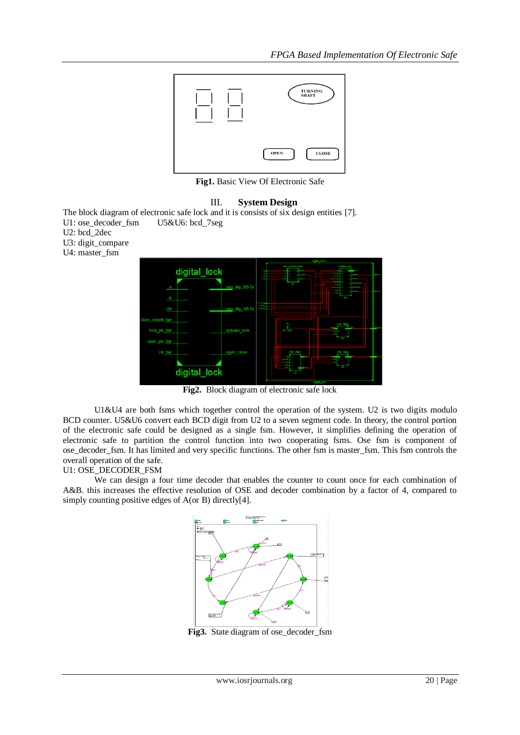

**Fig1.** Basic View Of Electronic Safe

## III. **System Design**

The block diagram of electronic safe lock and it is consists of six design entities [7]. U1: ose\_decoder\_fsm U5&U6: bcd\_7seg

- U2: bcd\_2dec
- U3: digit\_compare
- U4: master\_fsm



**Fig2.** Block diagram of electronic safe lock

U1&U4 are both fsms which together control the operation of the system. U2 is two digits modulo BCD counter. U5&U6 convert each BCD digit from U2 to a seven segment code. In theory, the control portion of the electronic safe could be designed as a single fsm. However, it simplifies defining the operation of electronic safe to partition the control function into two cooperating fsms. Ose fsm is component of ose decoder fsm. It has limited and very specific functions. The other fsm is master fsm. This fsm controls the overall operation of the safe.

### U1: OSE\_DECODER\_FSM

We can design a four time decoder that enables the counter to count once for each combination of A&B. this increases the effective resolution of OSE and decoder combination by a factor of 4, compared to simply counting positive edges of A(or B) directly[4].



**Fig3.** State diagram of ose\_decoder\_fsm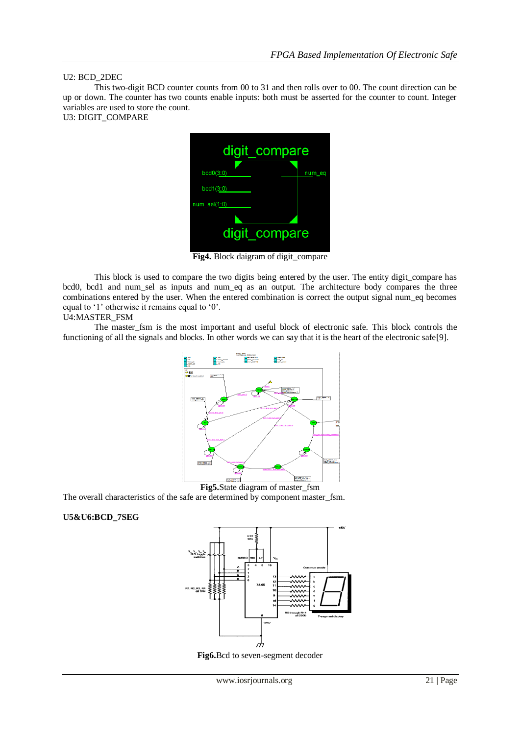### U2: BCD\_2DEC

This two-digit BCD counter counts from 00 to 31 and then rolls over to 00. The count direction can be up or down. The counter has two counts enable inputs: both must be asserted for the counter to count. Integer variables are used to store the count.

U3: DIGIT\_COMPARE



**Fig4.** Block daigram of digit\_compare

This block is used to compare the two digits being entered by the user. The entity digit\_compare has bcd0, bcd1 and num\_sel as inputs and num\_eq as an output. The architecture body compares the three combinations entered by the user. When the entered combination is correct the output signal num\_eq becomes equal to '1' otherwise it remains equal to '0'.

#### U4:MASTER\_FSM

The master\_fsm is the most important and useful block of electronic safe. This block controls the functioning of all the signals and blocks. In other words we can say that it is the heart of the electronic safe[9].



**Fig5.**State diagram of master\_fsm

The overall characteristics of the safe are determined by component master\_fsm.

### **U5&U6:BCD\_7SEG**



**Fig6.**Bcd to seven-segment decoder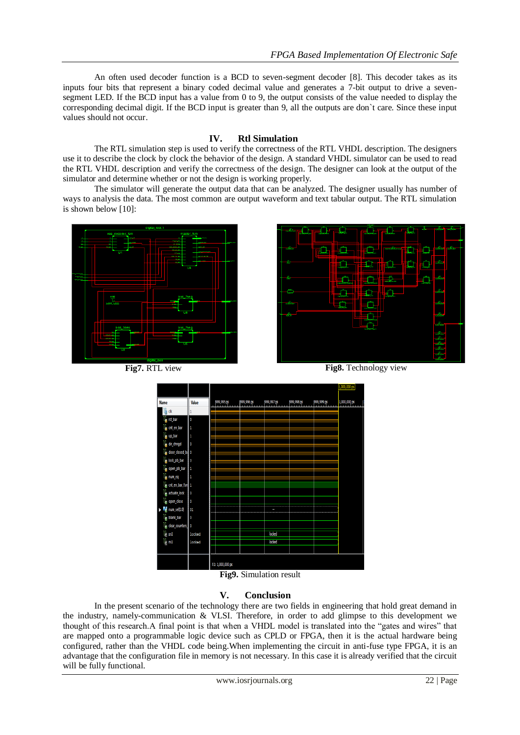An often used decoder function is a BCD to seven-segment decoder [8]. This decoder takes as its inputs four bits that represent a binary coded decimal value and generates a 7-bit output to drive a sevensegment LED. If the BCD input has a value from 0 to 9, the output consists of the value needed to display the corresponding decimal digit. If the BCD input is greater than 9, all the outputs are don`t care. Since these input values should not occur.

## **IV. Rtl Simulation**

The RTL simulation step is used to verify the correctness of the RTL VHDL description. The designers use it to describe the clock by clock the behavior of the design. A standard VHDL simulator can be used to read the RTL VHDL description and verify the correctness of the design. The designer can look at the output of the simulator and determine whether or not the design is working properly.

The simulator will generate the output data that can be analyzed. The designer usually has number of ways to analysis the data. The most common are output waveform and text tabular output. The RTL simulation is shown below [10]:







**Fig9.** Simulation result

## **V. Conclusion**

In the present scenario of the technology there are two fields in engineering that hold great demand in the industry, namely-communication & VLSI. Therefore, in order to add glimpse to this development we thought of this research.A final point is that when a VHDL model is translated into the "gates and wires" that are mapped onto a programmable logic device such as CPLD or FPGA, then it is the actual hardware being configured, rather than the VHDL code being. When implementing the circuit in anti-fuse type FPGA, it is an advantage that the configuration file in memory is not necessary. In this case it is already verified that the circuit will be fully functional.